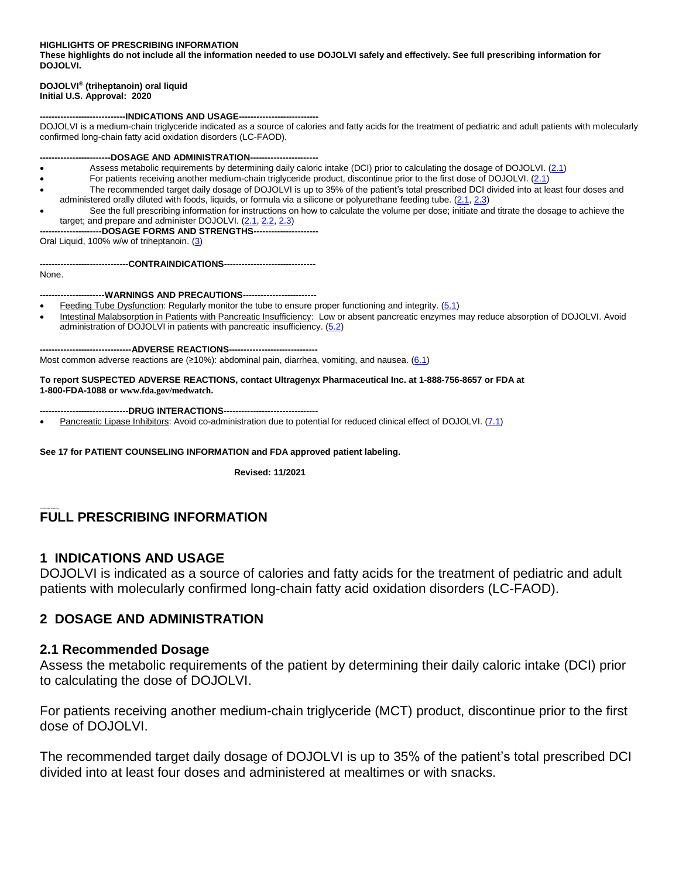**HIGHLIGHTS OF PRESCRIBING INFORMATION**

**These highlights do not include all the information needed to use DOJOLVI safely and effectively. See full prescribing information for DOJOLVI.**

#### **DOJOLVI® (triheptanoin) oral liquid Initial U.S. Approval: 2020**

#### ----INDICATIONS AND USAGE---

DOJOLVI is a medium-chain triglyceride indicated as a source of calories and fatty acids for the treatment of pediatric and adult patients with molecularly confirmed long-chain fatty acid oxidation disorders (LC-FAOD).

-DOSAGE AND ADMINISTRATION---

- Assess metabolic requirements by determining daily caloric intake (DCI) prior to calculating the dosage of DOJOLVI. [\(2.1\)](#page-0-0)
- For patients receiving another medium-chain triglyceride product, discontinue prior to the first dose of DOJOLVI. [\(2.1\)](#page-0-0)
- The recommended target daily dosage of DOJOLVI is up to 35% of the patient's total prescribed DCI divided into at least four doses and administered orally diluted with foods, liquids, or formula via a silicone or polyurethane feeding tube. [\(2.1,](#page-0-0) [2.3\)](#page-1-0)
- See the full prescribing information for instructions on how to calculate the volume per dose; initiate and titrate the dosage to achieve the target; and prepare and administer DOJOLVI. [\(2.1,](#page-0-0) [2.2,](#page-1-1) [2.3\)](#page-1-0)
- **---------------------DOSAGE FORMS AND STRENGTHS----------------------**

Oral Liquid, 100% w/w of triheptanoin. [\(3\)](#page-3-0)

**------------------------------CONTRAINDICATIONS-------------------------------**

None.

**----------------------WARNINGS AND PRECAUTIONS-------------------------**

- Feeding Tube Dysfunction: Regularly monitor the tube to ensure proper functioning and integrity. [\(5.1\)](#page-3-1)
- Intestinal Malabsorption in Patients with Pancreatic Insufficiency: Low or absent pancreatic enzymes may reduce absorption of DOJOLVI. Avoid administration of DOJOLVI in patients with pancreatic insufficiency. [\(5.2\)](#page-3-2)

**-------------------------------ADVERSE REACTIONS------------------------------**

Most common adverse reactions are  $(≥10%)$ : abdominal pain, diarrhea, vomiting, and nausea.  $(6.1)$ 

**To report SUSPECTED ADVERSE REACTIONS, contact Ultragenyx Pharmaceutical Inc. at 1-888-756-8657 or FDA at 1-800-FDA-1088 or [www.fda.gov/medwatch](http://www.fda.gov/medwatch).** 

**------------------------------DRUG INTERACTIONS--------------------------------**

Pancreatic Lipase Inhibitors: Avoid co-administration due to potential for reduced clinical effect of DOJOLVI. [\(7.1\)](#page-4-0)

**See 17 for PATIENT COUNSELING INFORMATION and FDA approved patient labeling.**

 **Revised: 11/2021**

### **FULL PRESCRIBING INFORMATION**

#### **1 INDICATIONS AND USAGE**

DOJOLVI is indicated as a source of calories and fatty acids for the treatment of pediatric and adult patients with molecularly confirmed long-chain fatty acid oxidation disorders (LC-FAOD).

#### **2 DOSAGE AND ADMINISTRATION**

#### <span id="page-0-0"></span>**2.1 Recommended Dosage**

Assess the metabolic requirements of the patient by determining their daily caloric intake (DCI) prior to calculating the dose of DOJOLVI.

For patients receiving another medium-chain triglyceride (MCT) product, discontinue prior to the first dose of DOJOLVI.

The recommended target daily dosage of DOJOLVI is up to 35% of the patient's total prescribed DCI divided into at least four doses and administered at mealtimes or with snacks.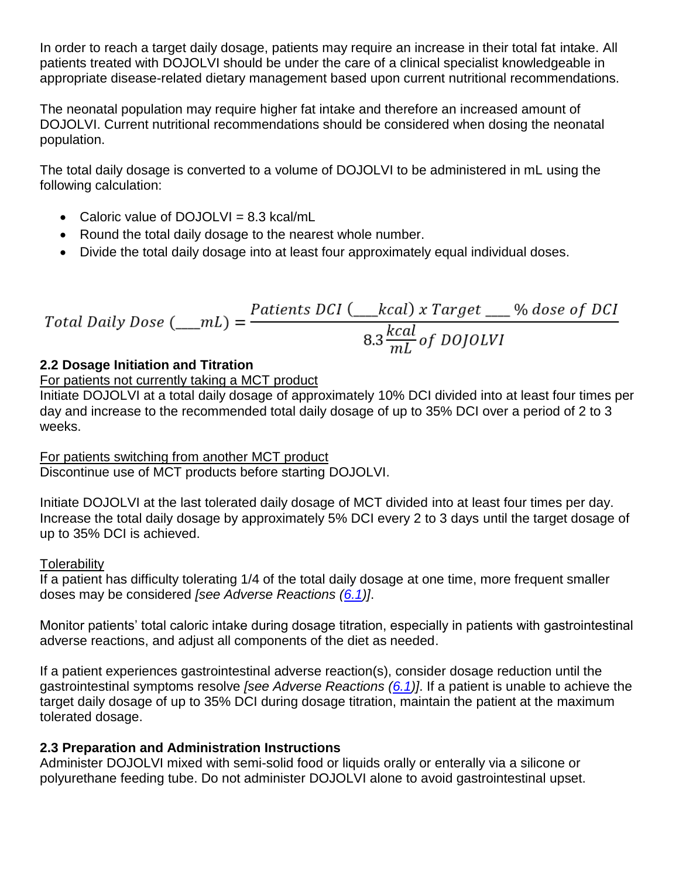In order to reach a target daily dosage, patients may require an increase in their total fat intake. All patients treated with DOJOLVI should be under the care of a clinical specialist knowledgeable in appropriate disease-related dietary management based upon current nutritional recommendations.

The neonatal population may require higher fat intake and therefore an increased amount of DOJOLVI. Current nutritional recommendations should be considered when dosing the neonatal population.

The total daily dosage is converted to a volume of DOJOLVI to be administered in mL using the following calculation:

- Caloric value of DOJOLVI = 8.3 kcal/mL
- Round the total daily dosage to the nearest whole number.
- Divide the total daily dosage into at least four approximately equal individual doses.

Total Daily Bose (\_\_
$$
mL
$$
) =  $\frac{Patterns\ DCI (__kcal) \times Target _% dose\ of\ DCI}{8.3 \frac{kcal}{mL} \text{ of\ }D OJOLVI}$ 

## <span id="page-1-1"></span>**2.2 Dosage Initiation and Titration**

### For patients not currently taking a MCT product

Initiate DOJOLVI at a total daily dosage of approximately 10% DCI divided into at least four times per day and increase to the recommended total daily dosage of up to 35% DCI over a period of 2 to 3 weeks.

For patients switching from another MCT product Discontinue use of MCT products before starting DOJOLVI.

Initiate DOJOLVI at the last tolerated daily dosage of MCT divided into at least four times per day. Increase the total daily dosage by approximately 5% DCI every 2 to 3 days until the target dosage of up to 35% DCI is achieved.

### **Tolerability**

If a patient has difficulty tolerating 1/4 of the total daily dosage at one time, more frequent smaller doses may be considered *[see Adverse Reactions [\(6.1\)](#page-3-3)]*.

Monitor patients' total caloric intake during dosage titration, especially in patients with gastrointestinal adverse reactions, and adjust all components of the diet as needed.

If a patient experiences gastrointestinal adverse reaction(s), consider dosage reduction until the gastrointestinal symptoms resolve *[see Adverse Reactions [\(6.1\)](#page-3-3)]*. If a patient is unable to achieve the target daily dosage of up to 35% DCI during dosage titration, maintain the patient at the maximum tolerated dosage.

### <span id="page-1-0"></span>**2.3 Preparation and Administration Instructions**

Administer DOJOLVI mixed with semi-solid food or liquids orally or enterally via a silicone or polyurethane feeding tube. Do not administer DOJOLVI alone to avoid gastrointestinal upset.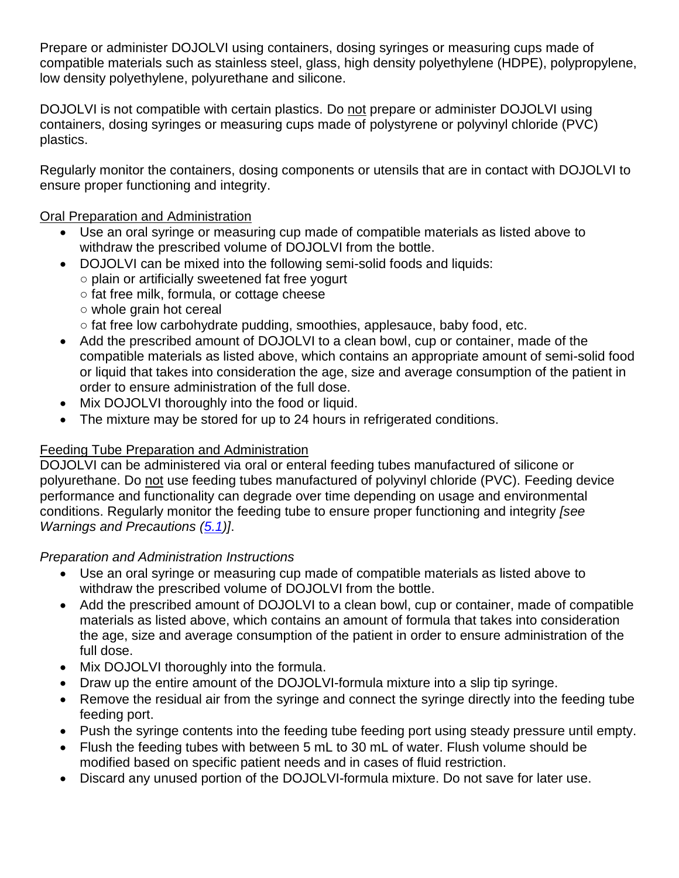Prepare or administer DOJOLVI using containers, dosing syringes or measuring cups made of compatible materials such as stainless steel, glass, high density polyethylene (HDPE), polypropylene, low density polyethylene, polyurethane and silicone.

DOJOLVI is not compatible with certain plastics. Do not prepare or administer DOJOLVI using containers, dosing syringes or measuring cups made of polystyrene or polyvinyl chloride (PVC) plastics.

Regularly monitor the containers, dosing components or utensils that are in contact with DOJOLVI to ensure proper functioning and integrity.

### Oral Preparation and Administration

- Use an oral syringe or measuring cup made of compatible materials as listed above to withdraw the prescribed volume of DOJOLVI from the bottle.
- DOJOLVI can be mixed into the following semi-solid foods and liquids:
	- plain or artificially sweetened fat free yogurt
	- fat free milk, formula, or cottage cheese
	- whole grain hot cereal
	- $\circ$  fat free low carbohydrate pudding, smoothies, applesauce, baby food, etc.
- Add the prescribed amount of DOJOLVI to a clean bowl, cup or container, made of the compatible materials as listed above, which contains an appropriate amount of semi-solid food or liquid that takes into consideration the age, size and average consumption of the patient in order to ensure administration of the full dose.
- Mix DOJOLVI thoroughly into the food or liquid.
- The mixture may be stored for up to 24 hours in refrigerated conditions.

## Feeding Tube Preparation and Administration

DOJOLVI can be administered via oral or enteral feeding tubes manufactured of silicone or polyurethane. Do not use feeding tubes manufactured of polyvinyl chloride (PVC). Feeding device performance and functionality can degrade over time depending on usage and environmental conditions. Regularly monitor the feeding tube to ensure proper functioning and integrity *[see Warnings and Precautions [\(5.1\)](#page-3-1)]*.

## *Preparation and Administration Instructions*

- Use an oral syringe or measuring cup made of compatible materials as listed above to withdraw the prescribed volume of DOJOLVI from the bottle.
- Add the prescribed amount of DOJOLVI to a clean bowl, cup or container, made of compatible materials as listed above, which contains an amount of formula that takes into consideration the age, size and average consumption of the patient in order to ensure administration of the full dose.
- Mix DOJOLVI thoroughly into the formula.
- Draw up the entire amount of the DOJOLVI-formula mixture into a slip tip syringe.
- Remove the residual air from the syringe and connect the syringe directly into the feeding tube feeding port.
- Push the syringe contents into the feeding tube feeding port using steady pressure until empty.
- Flush the feeding tubes with between 5 mL to 30 mL of water. Flush volume should be modified based on specific patient needs and in cases of fluid restriction.
- Discard any unused portion of the DOJOLVI-formula mixture. Do not save for later use.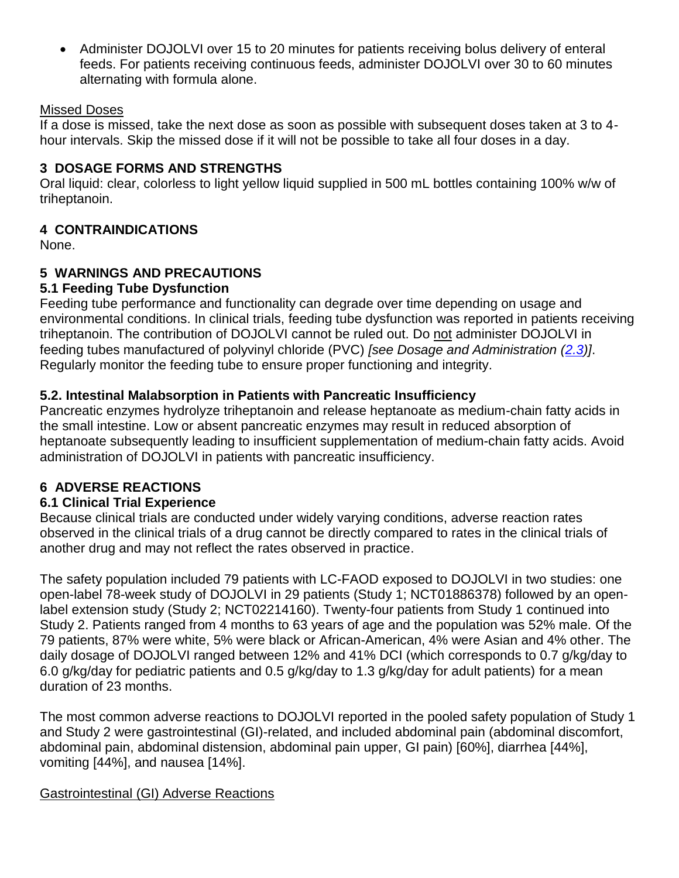• Administer DOJOLVI over 15 to 20 minutes for patients receiving bolus delivery of enteral feeds. For patients receiving continuous feeds, administer DOJOLVI over 30 to 60 minutes alternating with formula alone.

#### Missed Doses

If a dose is missed, take the next dose as soon as possible with subsequent doses taken at 3 to 4 hour intervals. Skip the missed dose if it will not be possible to take all four doses in a day.

### <span id="page-3-0"></span>**3 DOSAGE FORMS AND STRENGTHS**

Oral liquid: clear, colorless to light yellow liquid supplied in 500 mL bottles containing 100% w/w of triheptanoin.

## **4 CONTRAINDICATIONS**

None.

## **5 WARNINGS AND PRECAUTIONS**

## <span id="page-3-1"></span>**5.1 Feeding Tube Dysfunction**

Feeding tube performance and functionality can degrade over time depending on usage and environmental conditions. In clinical trials, feeding tube dysfunction was reported in patients receiving triheptanoin. The contribution of DOJOLVI cannot be ruled out. Do not administer DOJOLVI in feeding tubes manufactured of polyvinyl chloride (PVC) *[see Dosage and Administration [\(2.3\)](#page-1-0)]*. Regularly monitor the feeding tube to ensure proper functioning and integrity.

## <span id="page-3-2"></span>**5.2. Intestinal Malabsorption in Patients with Pancreatic Insufficiency**

Pancreatic enzymes hydrolyze triheptanoin and release heptanoate as medium-chain fatty acids in the small intestine. Low or absent pancreatic enzymes may result in reduced absorption of heptanoate subsequently leading to insufficient supplementation of medium-chain fatty acids. Avoid administration of DOJOLVI in patients with pancreatic insufficiency.

### **6 ADVERSE REACTIONS**

### <span id="page-3-3"></span>**6.1 Clinical Trial Experience**

Because clinical trials are conducted under widely varying conditions, adverse reaction rates observed in the clinical trials of a drug cannot be directly compared to rates in the clinical trials of another drug and may not reflect the rates observed in practice.

The safety population included 79 patients with LC-FAOD exposed to DOJOLVI in two studies: one open-label 78-week study of DOJOLVI in 29 patients (Study 1; NCT01886378) followed by an openlabel extension study (Study 2; NCT02214160). Twenty-four patients from Study 1 continued into Study 2. Patients ranged from 4 months to 63 years of age and the population was 52% male. Of the 79 patients, 87% were white, 5% were black or African-American, 4% were Asian and 4% other. The daily dosage of DOJOLVI ranged between 12% and 41% DCI (which corresponds to 0.7 g/kg/day to 6.0 g/kg/day for pediatric patients and 0.5 g/kg/day to 1.3 g/kg/day for adult patients) for a mean duration of 23 months.

The most common adverse reactions to DOJOLVI reported in the pooled safety population of Study 1 and Study 2 were gastrointestinal (GI)-related, and included abdominal pain (abdominal discomfort, abdominal pain, abdominal distension, abdominal pain upper, GI pain) [60%], diarrhea [44%], vomiting [44%], and nausea [14%].

### Gastrointestinal (GI) Adverse Reactions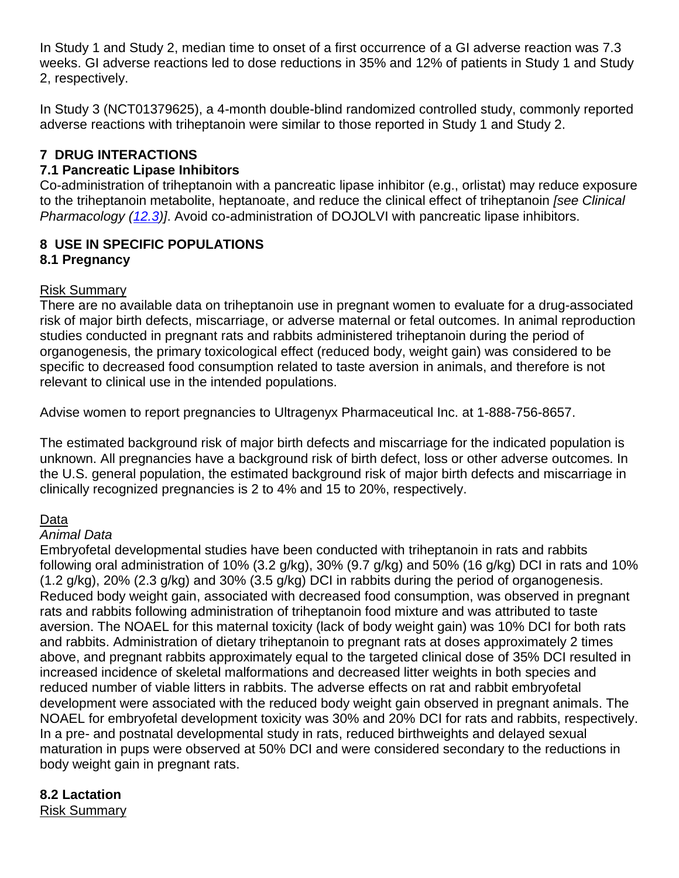In Study 1 and Study 2, median time to onset of a first occurrence of a GI adverse reaction was 7.3 weeks. GI adverse reactions led to dose reductions in 35% and 12% of patients in Study 1 and Study 2, respectively.

In Study 3 (NCT01379625), a 4-month double-blind randomized controlled study, commonly reported adverse reactions with triheptanoin were similar to those reported in Study 1 and Study 2.

## **7 DRUG INTERACTIONS**

### <span id="page-4-0"></span>**7.1 Pancreatic Lipase Inhibitors**

Co-administration of triheptanoin with a pancreatic lipase inhibitor (e.g., orlistat) may reduce exposure to the triheptanoin metabolite, heptanoate, and reduce the clinical effect of triheptanoin *[see Clinical Pharmacology [\(12.3\)](#page-5-0)]*. Avoid co-administration of DOJOLVI with pancreatic lipase inhibitors.

## **8 USE IN SPECIFIC POPULATIONS**

### **8.1 Pregnancy**

#### Risk Summary

There are no available data on triheptanoin use in pregnant women to evaluate for a drug-associated risk of major birth defects, miscarriage, or adverse maternal or fetal outcomes. In animal reproduction studies conducted in pregnant rats and rabbits administered triheptanoin during the period of organogenesis, the primary toxicological effect (reduced body, weight gain) was considered to be specific to decreased food consumption related to taste aversion in animals, and therefore is not relevant to clinical use in the intended populations.

Advise women to report pregnancies to Ultragenyx Pharmaceutical Inc. at 1-888-756-8657.

The estimated background risk of major birth defects and miscarriage for the indicated population is unknown. All pregnancies have a background risk of birth defect, loss or other adverse outcomes. In the U.S. general population, the estimated background risk of major birth defects and miscarriage in clinically recognized pregnancies is 2 to 4% and 15 to 20%, respectively.

### Data

### *Animal Data*

Embryofetal developmental studies have been conducted with triheptanoin in rats and rabbits following oral administration of 10% (3.2 g/kg), 30% (9.7 g/kg) and 50% (16 g/kg) DCI in rats and 10% (1.2 g/kg), 20% (2.3 g/kg) and 30% (3.5 g/kg) DCI in rabbits during the period of organogenesis. Reduced body weight gain, associated with decreased food consumption, was observed in pregnant rats and rabbits following administration of triheptanoin food mixture and was attributed to taste aversion. The NOAEL for this maternal toxicity (lack of body weight gain) was 10% DCI for both rats and rabbits. Administration of dietary triheptanoin to pregnant rats at doses approximately 2 times above, and pregnant rabbits approximately equal to the targeted clinical dose of 35% DCI resulted in increased incidence of skeletal malformations and decreased litter weights in both species and reduced number of viable litters in rabbits. The adverse effects on rat and rabbit embryofetal development were associated with the reduced body weight gain observed in pregnant animals. The NOAEL for embryofetal development toxicity was 30% and 20% DCI for rats and rabbits, respectively. In a pre- and postnatal developmental study in rats, reduced birthweights and delayed sexual maturation in pups were observed at 50% DCI and were considered secondary to the reductions in body weight gain in pregnant rats.

# **8.2 Lactation**

Risk Summary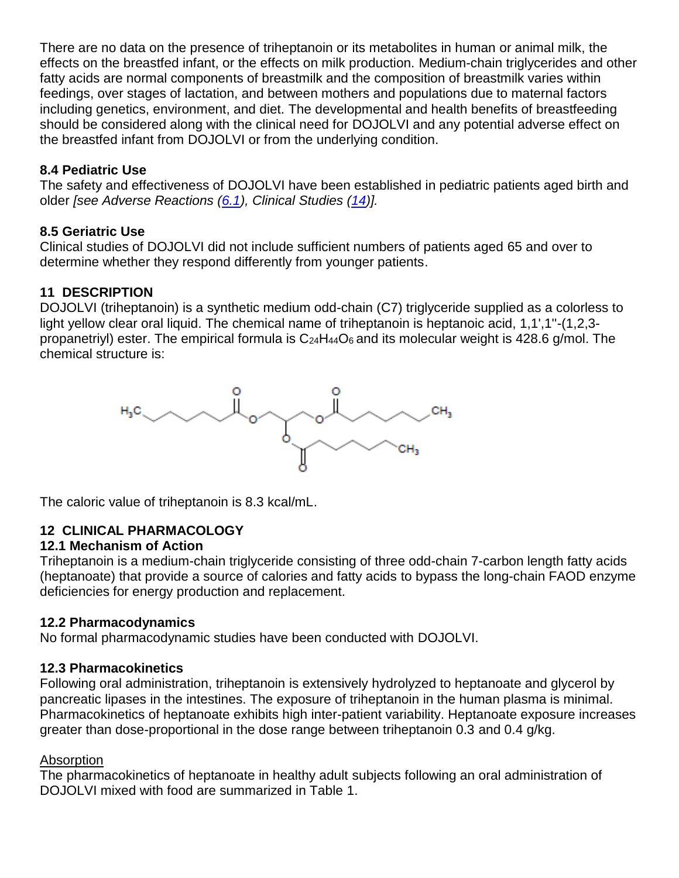There are no data on the presence of triheptanoin or its metabolites in human or animal milk, the effects on the breastfed infant, or the effects on milk production. Medium-chain triglycerides and other fatty acids are normal components of breastmilk and the composition of breastmilk varies within feedings, over stages of lactation, and between mothers and populations due to maternal factors including genetics, environment, and diet. The developmental and health benefits of breastfeeding should be considered along with the clinical need for DOJOLVI and any potential adverse effect on the breastfed infant from DOJOLVI or from the underlying condition.

## **8.4 Pediatric Use**

The safety and effectiveness of DOJOLVI have been established in pediatric patients aged birth and older *[see Adverse Reactions [\(6.1\)](#page-3-3), Clinical Studies [\(14\)](#page-7-0)].*

## **8.5 Geriatric Use**

Clinical studies of DOJOLVI did not include sufficient numbers of patients aged 65 and over to determine whether they respond differently from younger patients.

### **11 DESCRIPTION**

DOJOLVI (triheptanoin) is a synthetic medium odd-chain (C7) triglyceride supplied as a colorless to light yellow clear oral liquid. The chemical name of triheptanoin is heptanoic acid, 1,1',1"-(1,2,3propanetriyl) ester. The empirical formula is  $C_{24}H_{44}O_6$  and its molecular weight is 428.6 g/mol. The chemical structure is:



The caloric value of triheptanoin is 8.3 kcal/mL.

## **12 CLINICAL PHARMACOLOGY**

### **12.1 Mechanism of Action**

Triheptanoin is a medium-chain triglyceride consisting of three odd-chain 7-carbon length fatty acids (heptanoate) that provide a source of calories and fatty acids to bypass the long-chain FAOD enzyme deficiencies for energy production and replacement.

### **12.2 Pharmacodynamics**

No formal pharmacodynamic studies have been conducted with DOJOLVI.

### <span id="page-5-0"></span>**12.3 Pharmacokinetics**

Following oral administration, triheptanoin is extensively hydrolyzed to heptanoate and glycerol by pancreatic lipases in the intestines. The exposure of triheptanoin in the human plasma is minimal. Pharmacokinetics of heptanoate exhibits high inter-patient variability. Heptanoate exposure increases greater than dose-proportional in the dose range between triheptanoin 0.3 and 0.4 g/kg.

### Absorption

The pharmacokinetics of heptanoate in healthy adult subjects following an oral administration of DOJOLVI mixed with food are summarized in Table 1.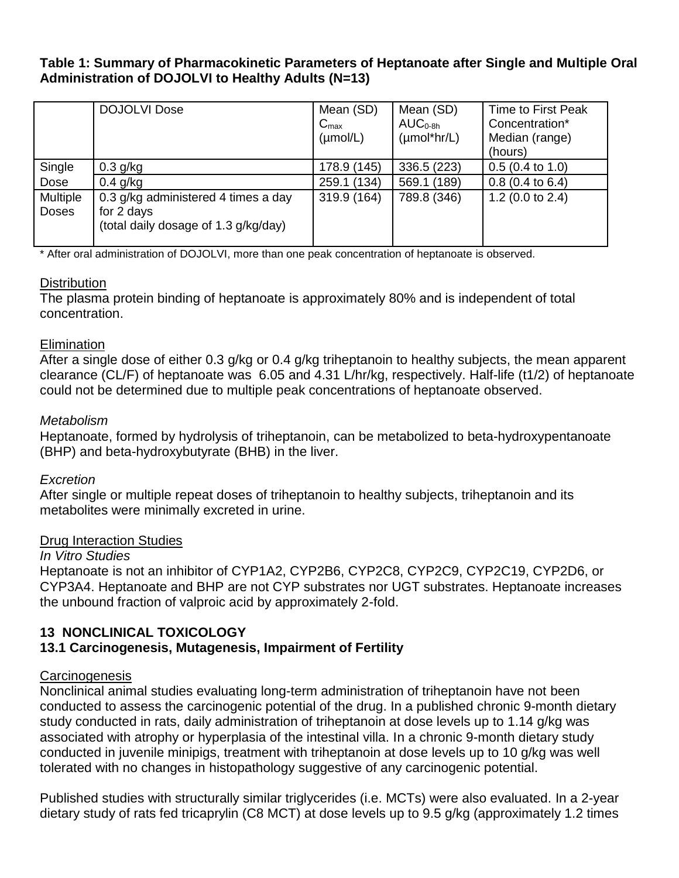#### **Table 1: Summary of Pharmacokinetic Parameters of Heptanoate after Single and Multiple Oral Administration of DOJOLVI to Healthy Adults (N=13)**

|                          | <b>DOJOLVI Dose</b>                                                                       | Mean (SD)<br>$C_{\text{max}}$<br>$(\mu \text{mol/L})$ | Mean (SD)<br>$AUC0-8h$<br>$(\mu \text{mol}^* \text{hr/L})$ | Time to First Peak<br>Concentration*<br>Median (range)<br>(hours) |
|--------------------------|-------------------------------------------------------------------------------------------|-------------------------------------------------------|------------------------------------------------------------|-------------------------------------------------------------------|
| Single                   | $0.3$ g/kg                                                                                | 178.9 (145)                                           | 336.5 (223)                                                | $0.5(0.4 \text{ to } 1.0)$                                        |
| Dose                     | $0.4$ g/kg                                                                                | 259.1 (134)                                           | 569.1 (189)                                                | $0.8$ (0.4 to 6.4)                                                |
| Multiple<br><b>Doses</b> | 0.3 g/kg administered 4 times a day<br>for 2 days<br>(total daily dosage of 1.3 g/kg/day) | 319.9 (164)                                           | 789.8 (346)                                                | 1.2 (0.0 to $2.4$ )                                               |

\* After oral administration of DOJOLVI, more than one peak concentration of heptanoate is observed.

### **Distribution**

The plasma protein binding of heptanoate is approximately 80% and is independent of total concentration.

#### **Elimination**

After a single dose of either 0.3 g/kg or 0.4 g/kg triheptanoin to healthy subjects, the mean apparent clearance (CL/F) of heptanoate was 6.05 and 4.31 L/hr/kg, respectively. Half-life (t1/2) of heptanoate could not be determined due to multiple peak concentrations of heptanoate observed.

#### *Metabolism*

Heptanoate, formed by hydrolysis of triheptanoin, can be metabolized to beta-hydroxypentanoate (BHP) and beta-hydroxybutyrate (BHB) in the liver.

### *Excretion*

After single or multiple repeat doses of triheptanoin to healthy subjects, triheptanoin and its metabolites were minimally excreted in urine.

#### Drug Interaction Studies

#### *In Vitro Studies*

Heptanoate is not an inhibitor of CYP1A2, CYP2B6, CYP2C8, CYP2C9, CYP2C19, CYP2D6, or CYP3A4. Heptanoate and BHP are not CYP substrates nor UGT substrates. Heptanoate increases the unbound fraction of valproic acid by approximately 2-fold.

### **13 NONCLINICAL TOXICOLOGY**

### **13.1 Carcinogenesis, Mutagenesis, Impairment of Fertility**

### Carcinogenesis

Nonclinical animal studies evaluating long-term administration of triheptanoin have not been conducted to assess the carcinogenic potential of the drug. In a published chronic 9-month dietary study conducted in rats, daily administration of triheptanoin at dose levels up to 1.14 g/kg was associated with atrophy or hyperplasia of the intestinal villa. In a chronic 9-month dietary study conducted in juvenile minipigs, treatment with triheptanoin at dose levels up to 10 g/kg was well tolerated with no changes in histopathology suggestive of any carcinogenic potential.

Published studies with structurally similar triglycerides (i.e. MCTs) were also evaluated. In a 2-year dietary study of rats fed tricaprylin (C8 MCT) at dose levels up to 9.5 g/kg (approximately 1.2 times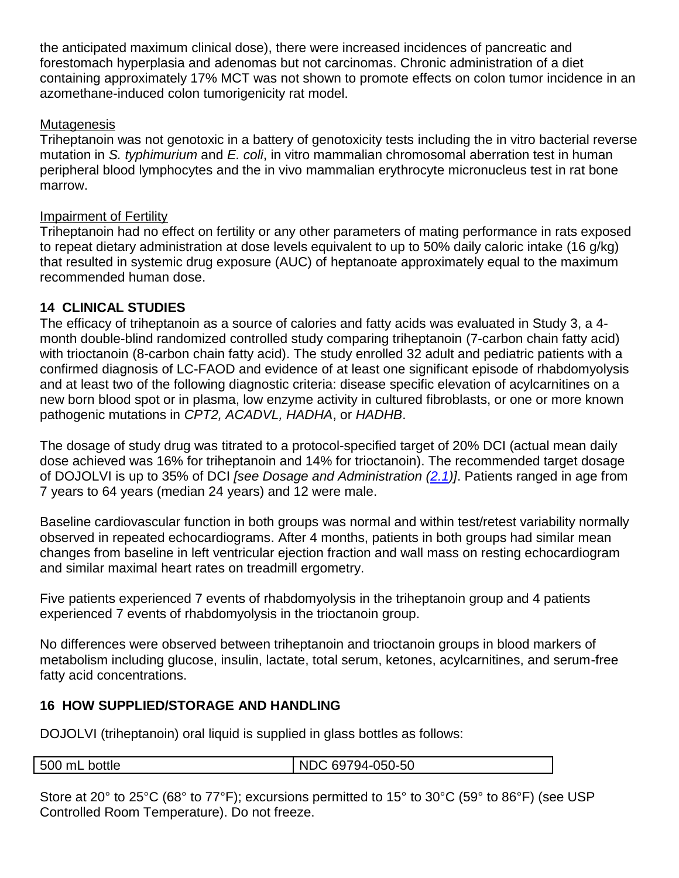the anticipated maximum clinical dose), there were increased incidences of pancreatic and forestomach hyperplasia and adenomas but not carcinomas. Chronic administration of a diet containing approximately 17% MCT was not shown to promote effects on colon tumor incidence in an azomethane-induced colon tumorigenicity rat model.

### **Mutagenesis**

Triheptanoin was not genotoxic in a battery of genotoxicity tests including the in vitro bacterial reverse mutation in *S. typhimurium* and *E. coli*, in vitro mammalian chromosomal aberration test in human peripheral blood lymphocytes and the in vivo mammalian erythrocyte micronucleus test in rat bone marrow.

### Impairment of Fertility

Triheptanoin had no effect on fertility or any other parameters of mating performance in rats exposed to repeat dietary administration at dose levels equivalent to up to 50% daily caloric intake (16 g/kg) that resulted in systemic drug exposure (AUC) of heptanoate approximately equal to the maximum recommended human dose.

## <span id="page-7-0"></span>**14 CLINICAL STUDIES**

The efficacy of triheptanoin as a source of calories and fatty acids was evaluated in Study 3, a 4 month double-blind randomized controlled study comparing triheptanoin (7-carbon chain fatty acid) with trioctanoin (8-carbon chain fatty acid). The study enrolled 32 adult and pediatric patients with a confirmed diagnosis of LC-FAOD and evidence of at least one significant episode of rhabdomyolysis and at least two of the following diagnostic criteria: disease specific elevation of acylcarnitines on a new born blood spot or in plasma, low enzyme activity in cultured fibroblasts, or one or more known pathogenic mutations in *CPT2, ACADVL, HADHA*, or *HADHB*.

The dosage of study drug was titrated to a protocol-specified target of 20% DCI (actual mean daily dose achieved was 16% for triheptanoin and 14% for trioctanoin). The recommended target dosage of DOJOLVI is up to 35% of DCI *[see Dosage and Administration [\(2.1\)](#page-0-0)]*. Patients ranged in age from 7 years to 64 years (median 24 years) and 12 were male.

Baseline cardiovascular function in both groups was normal and within test/retest variability normally observed in repeated echocardiograms. After 4 months, patients in both groups had similar mean changes from baseline in left ventricular ejection fraction and wall mass on resting echocardiogram and similar maximal heart rates on treadmill ergometry.

Five patients experienced 7 events of rhabdomyolysis in the triheptanoin group and 4 patients experienced 7 events of rhabdomyolysis in the trioctanoin group.

No differences were observed between triheptanoin and trioctanoin groups in blood markers of metabolism including glucose, insulin, lactate, total serum, ketones, acylcarnitines, and serum-free fatty acid concentrations.

## <span id="page-7-1"></span>**16 HOW SUPPLIED/STORAGE AND HANDLING**

DOJOLVI (triheptanoin) oral liquid is supplied in glass bottles as follows:

500 mL bottle  $\vert$  NDC 69794-050-50

Store at 20° to 25°C (68° to 77°F); excursions permitted to 15° to 30°C (59° to 86°F) (see USP Controlled Room Temperature). Do not freeze.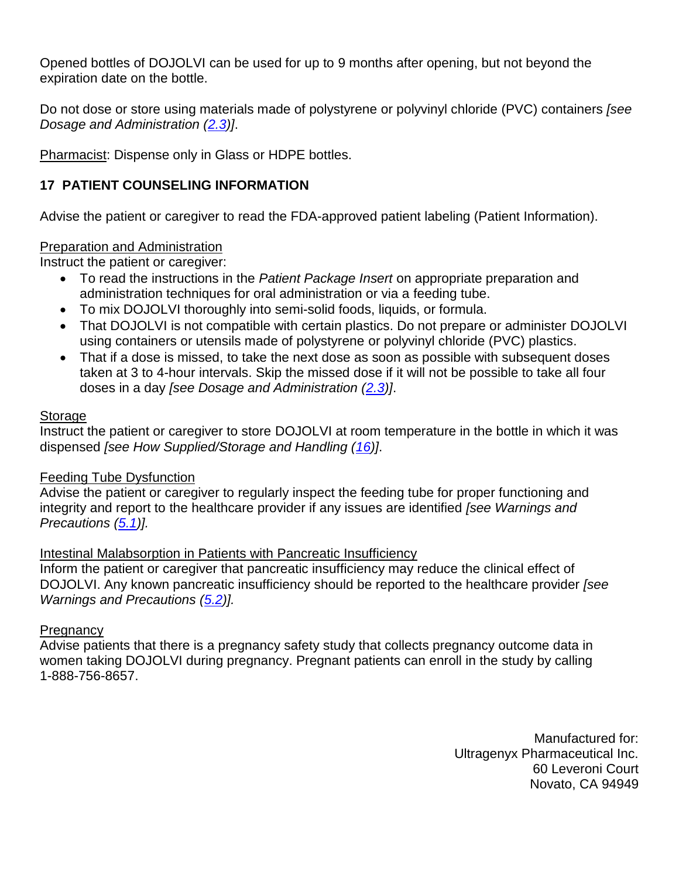Opened bottles of DOJOLVI can be used for up to 9 months after opening, but not beyond the expiration date on the bottle.

Do not dose or store using materials made of polystyrene or polyvinyl chloride (PVC) containers *[see Dosage and Administration [\(2.3\)](#page-1-0)]*.

Pharmacist: Dispense only in Glass or HDPE bottles.

## **17 PATIENT COUNSELING INFORMATION**

Advise the patient or caregiver to read the FDA-approved patient labeling (Patient Information).

### Preparation and Administration

Instruct the patient or caregiver:

- To read the instructions in the *Patient Package Insert* on appropriate preparation and administration techniques for oral administration or via a feeding tube.
- To mix DOJOLVI thoroughly into semi-solid foods, liquids, or formula.
- That DOJOLVI is not compatible with certain plastics. Do not prepare or administer DOJOLVI using containers or utensils made of polystyrene or polyvinyl chloride (PVC) plastics.
- That if a dose is missed, to take the next dose as soon as possible with subsequent doses taken at 3 to 4-hour intervals. Skip the missed dose if it will not be possible to take all four doses in a day *[see Dosage and Administration [\(2.3\)](#page-1-0)]*.

### **Storage**

Instruct the patient or caregiver to store DOJOLVI at room temperature in the bottle in which it was dispensed *[see How Supplied/Storage and Handling [\(16\)](#page-7-1)]*.

## Feeding Tube Dysfunction

Advise the patient or caregiver to regularly inspect the feeding tube for proper functioning and integrity and report to the healthcare provider if any issues are identified *[see Warnings and Precautions [\(5.1\)](#page-3-1)].*

## Intestinal Malabsorption in Patients with Pancreatic Insufficiency

Inform the patient or caregiver that pancreatic insufficiency may reduce the clinical effect of DOJOLVI. Any known pancreatic insufficiency should be reported to the healthcare provider *[see Warnings and Precautions [\(5.2\)](#page-3-2)].*

### **Pregnancy**

Advise patients that there is a pregnancy safety study that collects pregnancy outcome data in women taking DOJOLVI during pregnancy. Pregnant patients can enroll in the study by calling 1-888-756-8657.

> Manufactured for: Ultragenyx Pharmaceutical Inc. 60 Leveroni Court Novato, CA 94949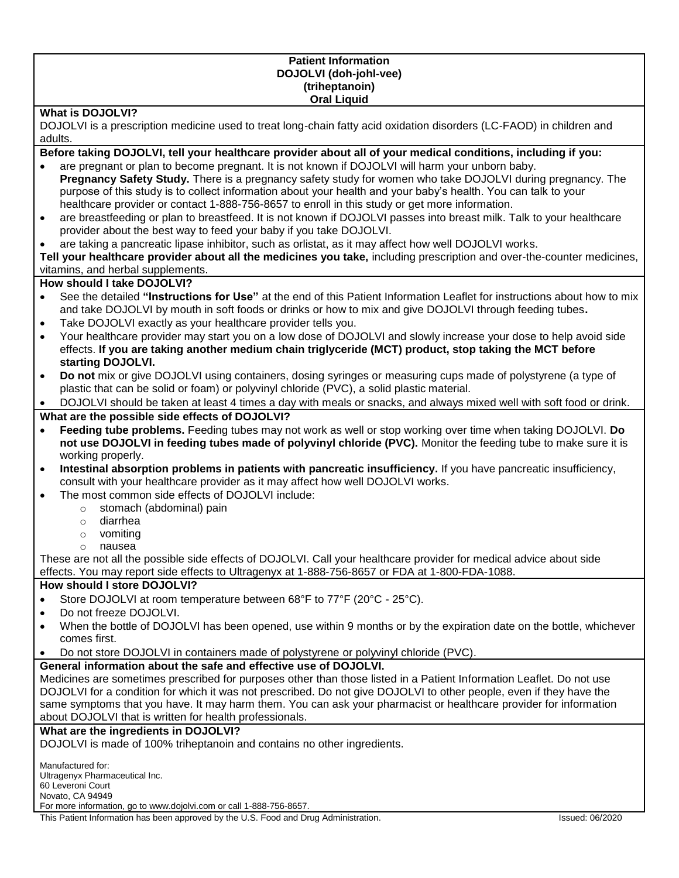#### **Patient Information DOJOLVI (doh-johl-vee) (triheptanoin) Oral Liquid**

#### **What is DOJOLVI?**

DOJOLVI is a prescription medicine used to treat long-chain fatty acid oxidation disorders (LC-FAOD) in children and adults.

**Before taking DOJOLVI, tell your healthcare provider about all of your medical conditions, including if you:**

- are pregnant or plan to become pregnant. It is not known if DOJOLVI will harm your unborn baby. **Pregnancy Safety Study.** There is a pregnancy safety study for women who take DOJOLVI during pregnancy. The purpose of this study is to collect information about your health and your baby's health. You can talk to your healthcare provider or contact 1-888-756-8657 to enroll in this study or get more information.
- are breastfeeding or plan to breastfeed. It is not known if DOJOLVI passes into breast milk. Talk to your healthcare provider about the best way to feed your baby if you take DOJOLVI.
- are taking a pancreatic lipase inhibitor, such as orlistat, as it may affect how well DOJOLVI works.

**Tell your healthcare provider about all the medicines you take,** including prescription and over-the-counter medicines, vitamins, and herbal supplements.

#### **How should I take DOJOLVI?**

- See the detailed **"Instructions for Use"** at the end of this Patient Information Leaflet for instructions about how to mix and take DOJOLVI by mouth in soft foods or drinks or how to mix and give DOJOLVI through feeding tubes**.**
- Take DOJOLVI exactly as your healthcare provider tells you.
- Your healthcare provider may start you on a low dose of DOJOLVI and slowly increase your dose to help avoid side effects. **If you are taking another medium chain triglyceride (MCT) product, stop taking the MCT before starting DOJOLVI.**
- **Do not** mix or give DOJOLVI using containers, dosing syringes or measuring cups made of polystyrene (a type of plastic that can be solid or foam) or polyvinyl chloride (PVC), a solid plastic material.

• DOJOLVI should be taken at least 4 times a day with meals or snacks, and always mixed well with soft food or drink.

#### **What are the possible side effects of DOJOLVI?**

- **Feeding tube problems.** Feeding tubes may not work as well or stop working over time when taking DOJOLVI. **Do not use DOJOLVI in feeding tubes made of polyvinyl chloride (PVC).** Monitor the feeding tube to make sure it is working properly.
- **Intestinal absorption problems in patients with pancreatic insufficiency.** If you have pancreatic insufficiency, consult with your healthcare provider as it may affect how well DOJOLVI works.
- The most common side effects of DOJOLVI include:
	- o stomach (abdominal) pain
		- o diarrhea
		- o vomiting
		- o nausea

These are not all the possible side effects of DOJOLVI. Call your healthcare provider for medical advice about side effects. You may report side effects to Ultragenyx at 1-888-756-8657 or FDA at 1-800-FDA-1088.

#### **How should I store DOJOLVI?**

- Store DOJOLVI at room temperature between 68°F to 77°F (20°C 25°C).
- Do not freeze DOJOLVI.
- When the bottle of DOJOLVI has been opened, use within 9 months or by the expiration date on the bottle, whichever comes first.
- Do not store DOJOLVI in containers made of polystyrene or polyvinyl chloride (PVC).

#### **General information about the safe and effective use of DOJOLVI.**

Medicines are sometimes prescribed for purposes other than those listed in a Patient Information Leaflet. Do not use DOJOLVI for a condition for which it was not prescribed. Do not give DOJOLVI to other people, even if they have the same symptoms that you have. It may harm them. You can ask your pharmacist or healthcare provider for information about DOJOLVI that is written for health professionals.

#### **What are the ingredients in DOJOLVI?**

DOJOLVI is made of 100% triheptanoin and contains no other ingredients.

| Manufactured for:<br>Ultragenyx Pharmaceutical Inc.                 |  |
|---------------------------------------------------------------------|--|
| 60 Leveroni Court                                                   |  |
| Novato, CA 94949                                                    |  |
| For more information, go to www.dojolvi.com or call 1-888-756-8657. |  |
|                                                                     |  |

This Patient Information has been approved by the U.S. Food and Drug Administration. In the U.S. Food and Drug Administration.